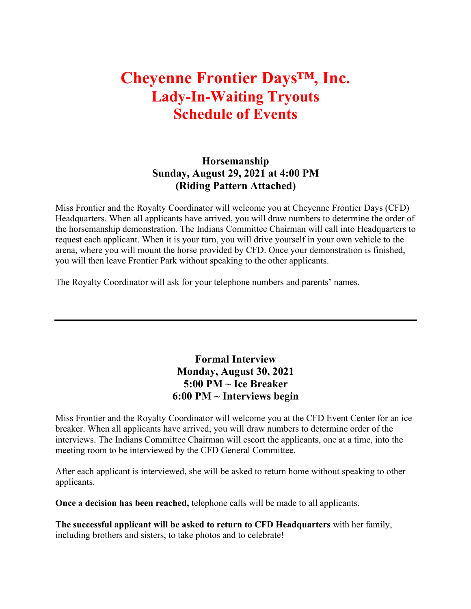## **Cheyenne Frontier Days™, Inc. Lady-In-Waiting Tryouts Schedule of Events**

## **Horsemanship Sunday, August 29, 2021 at 4:00 PM (Riding Pattern Attached)**

Miss Frontier and the Royalty Coordinator will welcome you at Cheyenne Frontier Days (CFD) Headquarters. When all applicants have arrived, you will draw numbers to determine the order of the horsemanship demonstration. The Indians Committee Chairman will call into Headquarters to request each applicant. When it is your turn, you will drive yourself in your own vehicle to the arena, where you will mount the horse provided by CFD. Once your demonstration is finished, you will then leave Frontier Park without speaking to the other applicants.

The Royalty Coordinator will ask for your telephone numbers and parents' names.

## **Formal Interview Monday, August 30, 2021 5:00 PM ~ Ice Breaker 6:00 PM ~ Interviews begin**

Miss Frontier and the Royalty Coordinator will welcome you at the CFD Event Center for an ice breaker. When all applicants have arrived, you will draw numbers to determine order of the interviews. The Indians Committee Chairman will escort the applicants, one at a time, into the meeting room to be interviewed by the CFD General Committee.

After each applicant is interviewed, she will be asked to return home without speaking to other applicants.

**Once a decision has been reached,** telephone calls will be made to all applicants.

**The successful applicant will be asked to return to CFD Headquarters** with her family, including brothers and sisters, to take photos and to celebrate!